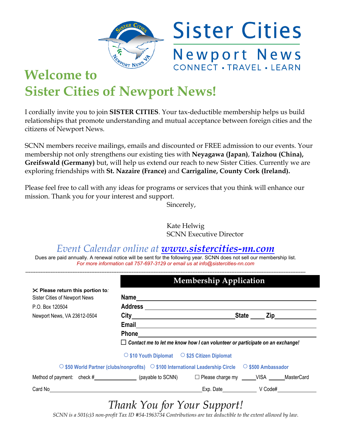

## **Welcome to Sister Cities of Newport News!**

I cordially invite you to join **SISTER CITIES**. Your tax-deductible membership helps us build relationships that promote understanding and mutual acceptance between foreign cities and the citizens of Newport News.

SCNN members receive mailings, emails and discounted or FREE admission to our events. Your membership not only strengthens our existing ties with **Neyagawa (Japan)**, **Taizhou (China), Greifswald (Germany)** but, will help us extend our reach to new Sister Cities. Currently we are exploring friendships with **St. Nazaire (France)** and **Carrigaline, County Cork (Ireland).**

Please feel free to call with any ideas for programs or services that you think will enhance our mission. Thank you for your interest and support.

Sincerely,

 Kate Helwig SCNN Executive Director

*Event Calendar online at www.sistercities-nn.com* 

Dues are paid annually. A renewal notice will be sent for the following year. SCNN does not sell our membership list. *For more information call 757-697-3129 or email us at info@sistercities-nn.com* 

|                                          | <b>Membership Application</b>                                                                                  |              |                |  |
|------------------------------------------|----------------------------------------------------------------------------------------------------------------|--------------|----------------|--|
| <b>EX</b> Please return this portion to: |                                                                                                                |              |                |  |
| Sister Cities of Newport News            |                                                                                                                |              |                |  |
| P.O. Box 120504                          |                                                                                                                |              |                |  |
| Newport News, VA 23612-0504              |                                                                                                                | <b>State</b> | Zip___________ |  |
|                                          |                                                                                                                |              |                |  |
|                                          | Phone                                                                                                          |              |                |  |
|                                          | $\Box$ Contact me to let me know how I can volunteer or participate on an exchange!                            |              |                |  |
|                                          | ○ \$10 Youth Diplomat ○ \$25 Citizen Diplomat                                                                  |              |                |  |
|                                          | ○ \$50 World Partner (clubs/nonprofits) $\circ$ \$100 International Leadership Circle $\circ$ \$500 Ambassador |              |                |  |
|                                          | Method of payment: check #____________________(payable to SCNN) □ Please charge my VISA MasterCard             |              |                |  |
| Card No                                  |                                                                                                                | Exp. Date    | V Code#        |  |

*Thank You for Your Support!* 

*SCNN is a 501(c)3 non-profit Tax ID #54-1963734 Contributions are tax deductible to the extent allowed by law.*